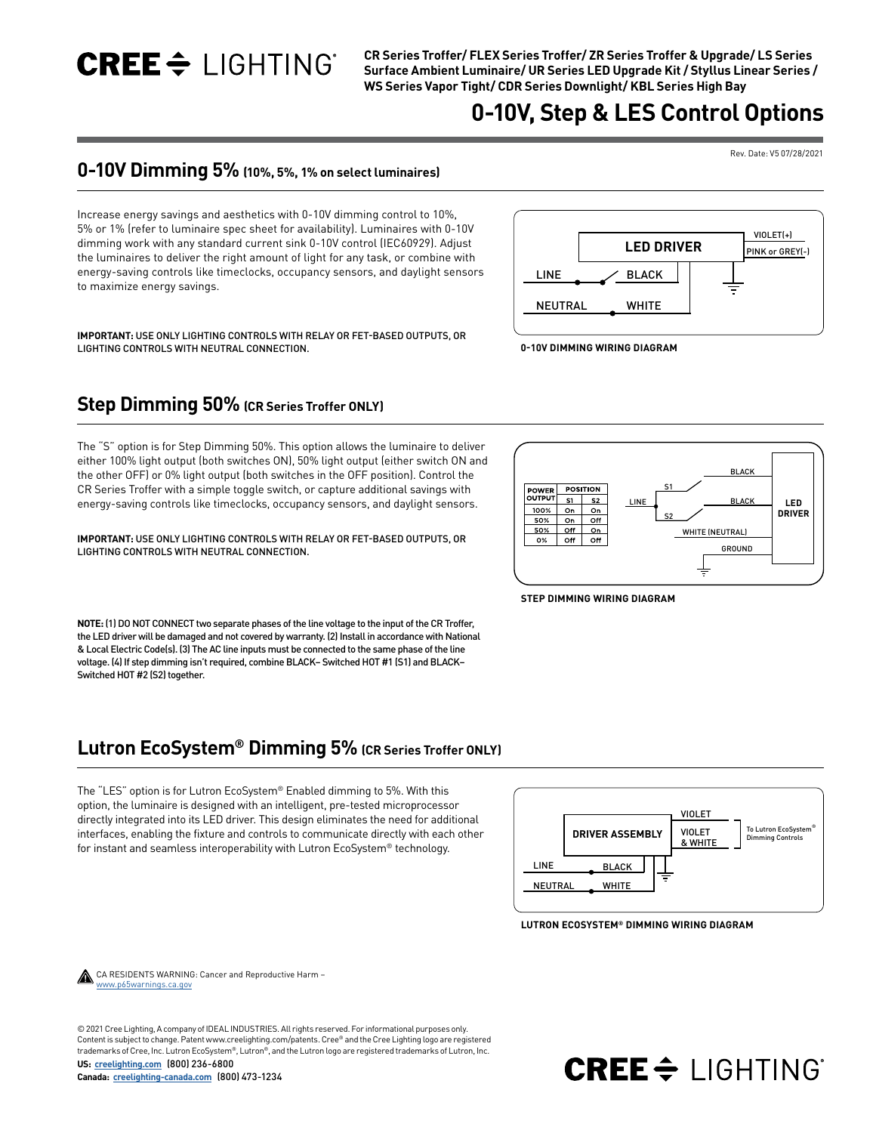$CRE \div$  LIGHTING

**CR Series Troffer/ FLEX Series Troffer/ ZR Series Troffer & Upgrade/ LS Series Surface Ambient Luminaire/ UR Series LED Upgrade Kit / Styllus Linear Series / WS Series Vapor Tight/ CDR Series Downlight/ KBL Series High Bay**

## **0-10V, Step & LES Control Options**

#### Rev. Date: V5 07/28/2021

## **0-10V Dimming 5% (10%, 5%, 1% on select luminaires)**

Increase energy savings and aesthetics with 0-10V dimming control to 10%, 5% or 1% (refer to luminaire spec sheet for availability). Luminaires with 0-10V dimming work with any standard current sink 0-10V control (IEC60929). Adjust the luminaires to deliver the right amount of light for any task, or combine with energy-saving controls like timeclocks, occupancy sensors, and daylight sensors to maximize energy savings.



**IMPORTANT:** USE ONLY LIGHTING CONTROLS WITH RELAY OR FET-BASED OUTPUTS, OR LIGHTING CONTROLS WITH NEUTRAL CONNECTION.

## **Step Dimming 50% (CR Series Troffer ONLY)**

The "S" option is for Step Dimming 50%. This option allows the luminaire to deliver either 100% light output (both switches ON), 50% light output (either switch ON and the other OFF) or 0% light output (both switches in the OFF position). Control the CR Series Troffer with a simple toggle switch, or capture additional savings with energy-saving controls like timeclocks, occupancy sensors, and daylight sensors.

**IMPORTANT:** USE ONLY LIGHTING CONTROLS WITH RELAY OR FET-BASED OUTPUTS, OR LIGHTING CONTROLS WITH NEUTRAL CONNECTION.

**NOTE:** (1) DO NOT CONNECT two separate phases of the line voltage to the input of the CR Troffer, the LED driver will be damaged and not covered by warranty. (2) Install in accordance with National & Local Electric Code(s). (3) The AC line inputs must be connected to the same phase of the line voltage. (4) If step dimming isn't required, combine BLACK– Switched HOT #1 (S1) and BLACK– Switched HOT #2 (S2) together.

### **Lutron EcoSystem® Dimming 5% (CR Series Troffer ONLY)**

The "LES" option is for Lutron EcoSystem® Enabled dimming to 5%. With this option, the luminaire is designed with an intelligent, pre-tested microprocessor directly integrated into its LED driver. This design eliminates the need for additional interfaces, enabling the fixture and controls to communicate directly with each other for instant and seamless interoperability with Lutron EcoSystem® technology.



 $CREE \triangleq \sqcup \bigcap \bigcap \bigcap \bigcap$ 

**LUTRON ECOSYSTEM® DIMMING WIRING DIAGRAM**



 CA RESIDENTS WARNING: Cancer and Reproductive Harm – [www.p65warnings.ca.gov](http://www.p65warnings.ca.gov)

© 2021 Cree Lighting, A company of IDEAL INDUSTRIES. All rights reserved. For informational purposes only. Content is subject to change. Patent www.creelighting.com/patents. Cree® and the Cree Lighting logo are registered trademarks of Cree, Inc. Lutron EcoSystem®, Lutron®, and the Lutron logo are registered trademarks of Lutron, Inc.

**US: [creelighting.com](https://www.creelighting.com)** (800) 236-6800

**Canada: [creelighting-canada.com](http://creelighting-canada.com)** (800) 473-1234



**STEP DIMMING WIRING DIAGRAM**

**0-10V DIMMING WIRING DIAGRAM**